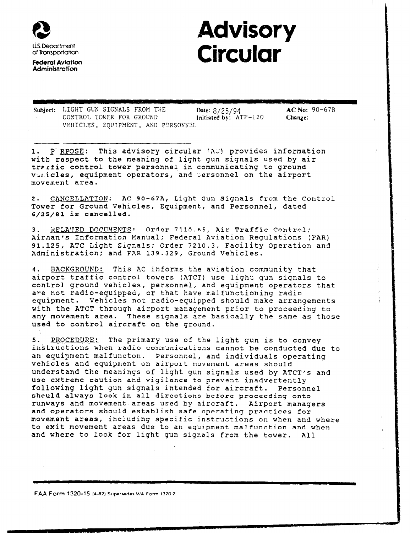

U.S. Deporrrnenr of Transportation

**Federal Aviation Administration** 

## **Advisory Circular**

~- Subject: LIGHT GUN SIGNALS FROM THE **Date:**  $8/25/94$  **AC No:**  $90-67B$  CONTROL TOWER FOR GROUND **Initiated by:**  $AP-120$  **Change:** CONTROL TOWER FOR GROUND Initiated by: ATP-120 Change: VEHICLES, EQUIPMENT, AND PERSONNEL

1. P' RPOSE: This advisory circular (AC) provides information with respect to the meaning of light gun signals used by air trafic control tower personnel in communicating to ground vonicles, equipment operators, and personnel on the airport movement area.

2. CANCELLATION: AC 90-67A, Light Gun Signals from the Control Tower for Ground Vehicles, Equipment, and Personnel, dated 6/25/81 is cancelled.

3. RELATED DOCUMENTS: Order 7110.65, Air Traffic Control; Air.nan's Information Manual; Federal Aviation Regulations (FAR) 91.125, ATC Light Signals: Order 7210.3, Facility Operation and Administration: and FAR 139.329, Ground Vehicles.

4. BACKGROUND: This AC informs the aviation community that airport traffic control towers (ATCT) use light gun signals to control ground vehicles, personnel, and equipment operators that are not radio-equipped, or that have malfunctioning radio equipment. Vehicles not radio-equipped should make arrangements with the ATCT through airport management prior to proceeding to any movement area. These signals are basically the same as those used to controi aircraft on the ground.

5. PROCEDURE: The primary use of the light gun is to convey instructions when radio communications cannot be conducted due to an equipment malfuncton. Personnel, and individuals operating equipment maritimetent . Personnel, and individuals o vehicles and equipment on airport movement areas should<br>understand the meanings of light gun signals used by ATCT's and use extreme caution and vigilance to prevent inadvertently use excreme caucion and vigitance to prevent inauvertently. ioliowing light gun signals intended for alforatt. Person should always look in all directions before proceeding onto runways and movement areas used by aircraft. Airport manag and operators should establish sale operating practices for movement areas, including specific instructions on when and whe to exit movement areas due to an equipment malfunction and when<br>and where to look for light gun signals from the tower. All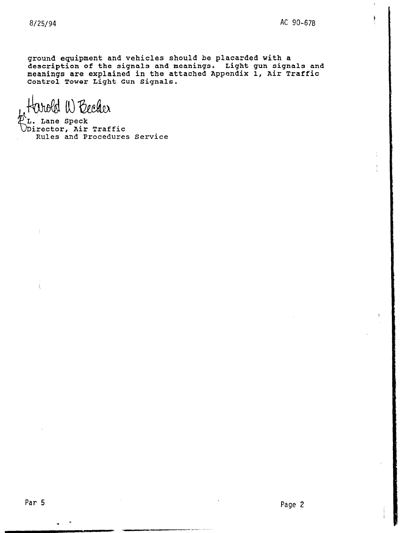ground equipment and vehicles should be placarded with a description of the signals and meanings. Light gun signals and meanings are explained in the attached Appendix 1, Air Traff Control Tower Light Gun Signals.

weld W Becher

Lane Speck Director, Air Traffic Rules and Procedures Service